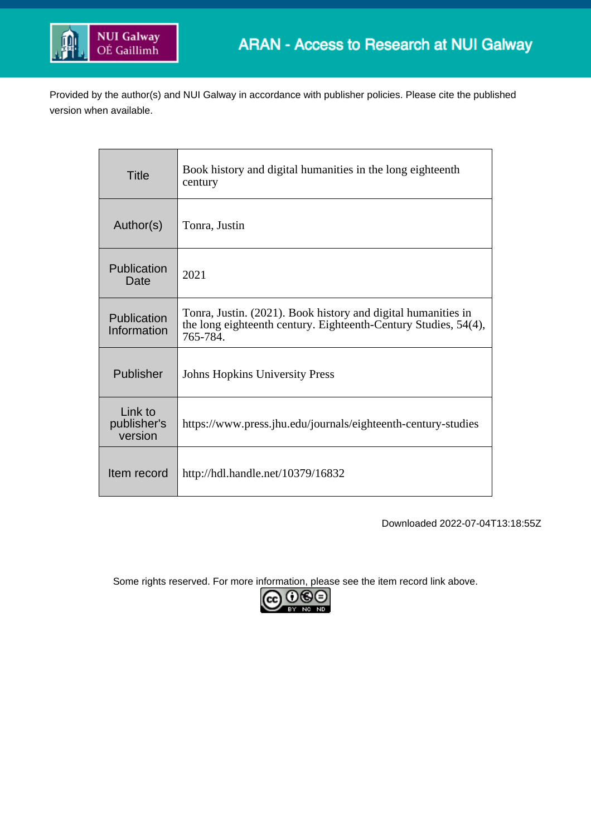

Provided by the author(s) and NUI Galway in accordance with publisher policies. Please cite the published version when available.

| <b>Title</b>                      | Book history and digital humanities in the long eighteenth<br>century                                                                        |
|-----------------------------------|----------------------------------------------------------------------------------------------------------------------------------------------|
| Author(s)                         | Tonra, Justin                                                                                                                                |
| Publication<br>Date               | 2021                                                                                                                                         |
| Publication<br>Information        | Tonra, Justin. (2021). Book history and digital humanities in<br>the long eighteenth century. Eighteenth-Century Studies, 54(4),<br>765-784. |
| Publisher                         | <b>Johns Hopkins University Press</b>                                                                                                        |
| Link to<br>publisher's<br>version | https://www.press.jhu.edu/journals/eighteenth-century-studies                                                                                |
| Item record                       | http://hdl.handle.net/10379/16832                                                                                                            |

Downloaded 2022-07-04T13:18:55Z

Some rights reserved. For more information, please see the item record link above.

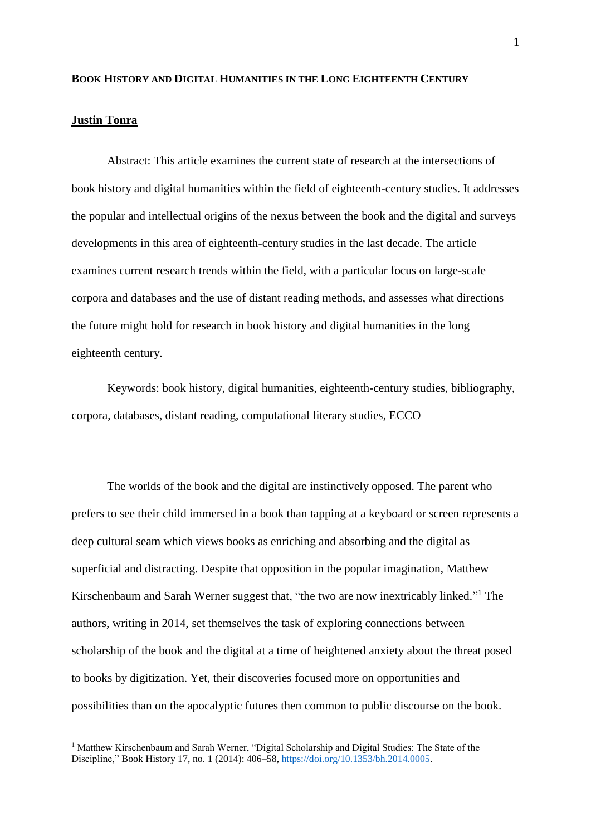## **BOOK HISTORY AND DIGITAL HUMANITIES IN THE LONG EIGHTEENTH CENTURY**

## **Justin Tonra**

1

Abstract: This article examines the current state of research at the intersections of book history and digital humanities within the field of eighteenth-century studies. It addresses the popular and intellectual origins of the nexus between the book and the digital and surveys developments in this area of eighteenth-century studies in the last decade. The article examines current research trends within the field, with a particular focus on large-scale corpora and databases and the use of distant reading methods, and assesses what directions the future might hold for research in book history and digital humanities in the long eighteenth century.

Keywords: book history, digital humanities, eighteenth-century studies, bibliography, corpora, databases, distant reading, computational literary studies, ECCO

The worlds of the book and the digital are instinctively opposed. The parent who prefers to see their child immersed in a book than tapping at a keyboard or screen represents a deep cultural seam which views books as enriching and absorbing and the digital as superficial and distracting. Despite that opposition in the popular imagination, Matthew Kirschenbaum and Sarah Werner suggest that, "the two are now inextricably linked." <sup>1</sup> The authors, writing in 2014, set themselves the task of exploring connections between scholarship of the book and the digital at a time of heightened anxiety about the threat posed to books by digitization. Yet, their discoveries focused more on opportunities and possibilities than on the apocalyptic futures then common to public discourse on the book.

<sup>&</sup>lt;sup>1</sup> Matthew Kirschenbaum and Sarah Werner, "Digital Scholarship and Digital Studies: The State of the Discipline," Book History 17, no. 1 (2014): 406–58[, https://doi.org/10.1353/bh.2014.0005.](https://doi.org/10.1353/bh.2014.0005)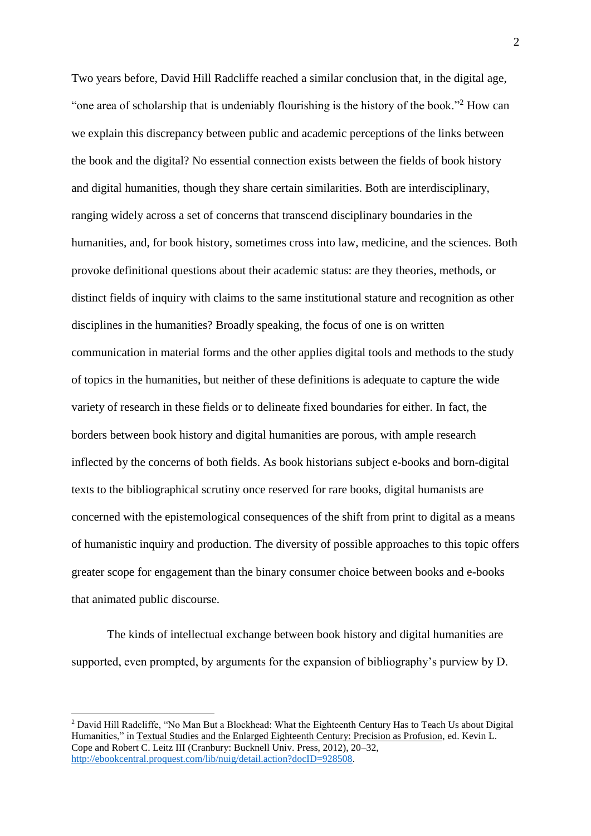Two years before, David Hill Radcliffe reached a similar conclusion that, in the digital age, "one area of scholarship that is undeniably flourishing is the history of the book."<sup>2</sup> How can we explain this discrepancy between public and academic perceptions of the links between the book and the digital? No essential connection exists between the fields of book history and digital humanities, though they share certain similarities. Both are interdisciplinary, ranging widely across a set of concerns that transcend disciplinary boundaries in the humanities, and, for book history, sometimes cross into law, medicine, and the sciences. Both provoke definitional questions about their academic status: are they theories, methods, or distinct fields of inquiry with claims to the same institutional stature and recognition as other disciplines in the humanities? Broadly speaking, the focus of one is on written communication in material forms and the other applies digital tools and methods to the study of topics in the humanities, but neither of these definitions is adequate to capture the wide variety of research in these fields or to delineate fixed boundaries for either. In fact, the borders between book history and digital humanities are porous, with ample research inflected by the concerns of both fields. As book historians subject e-books and born-digital texts to the bibliographical scrutiny once reserved for rare books, digital humanists are concerned with the epistemological consequences of the shift from print to digital as a means of humanistic inquiry and production. The diversity of possible approaches to this topic offers greater scope for engagement than the binary consumer choice between books and e-books that animated public discourse.

The kinds of intellectual exchange between book history and digital humanities are supported, even prompted, by arguments for the expansion of bibliography's purview by D.

<u>.</u>

<sup>2</sup> David Hill Radcliffe, "No Man But a Blockhead: What the Eighteenth Century Has to Teach Us about Digital Humanities," in Textual Studies and the Enlarged Eighteenth Century: Precision as Profusion, ed. Kevin L. Cope and Robert C. Leitz III (Cranbury: Bucknell Univ. Press, 2012), 20–32, [http://ebookcentral.proquest.com/lib/nuig/detail.action?docID=928508.](http://ebookcentral.proquest.com/lib/nuig/detail.action?docID=928508)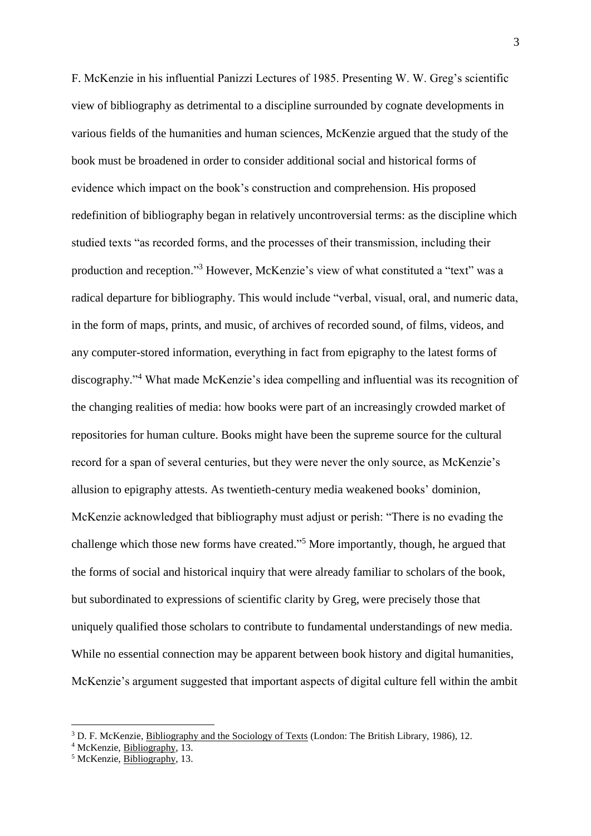F. McKenzie in his influential Panizzi Lectures of 1985. Presenting W. W. Greg's scientific view of bibliography as detrimental to a discipline surrounded by cognate developments in various fields of the humanities and human sciences, McKenzie argued that the study of the book must be broadened in order to consider additional social and historical forms of evidence which impact on the book's construction and comprehension. His proposed redefinition of bibliography began in relatively uncontroversial terms: as the discipline which studied texts "as recorded forms, and the processes of their transmission, including their production and reception."<sup>3</sup> However, McKenzie's view of what constituted a "text" was a radical departure for bibliography. This would include "verbal, visual, oral, and numeric data, in the form of maps, prints, and music, of archives of recorded sound, of films, videos, and any computer-stored information, everything in fact from epigraphy to the latest forms of discography." <sup>4</sup> What made McKenzie's idea compelling and influential was its recognition of the changing realities of media: how books were part of an increasingly crowded market of repositories for human culture. Books might have been the supreme source for the cultural record for a span of several centuries, but they were never the only source, as McKenzie's allusion to epigraphy attests. As twentieth-century media weakened books' dominion, McKenzie acknowledged that bibliography must adjust or perish: "There is no evading the challenge which those new forms have created." <sup>5</sup> More importantly, though, he argued that the forms of social and historical inquiry that were already familiar to scholars of the book, but subordinated to expressions of scientific clarity by Greg, were precisely those that uniquely qualified those scholars to contribute to fundamental understandings of new media. While no essential connection may be apparent between book history and digital humanities, McKenzie's argument suggested that important aspects of digital culture fell within the ambit

<sup>3</sup> D. F. McKenzie, Bibliography and the Sociology of Texts (London: The British Library, 1986), 12.

<sup>4</sup> McKenzie, Bibliography, 13.

<sup>5</sup> McKenzie, Bibliography, 13.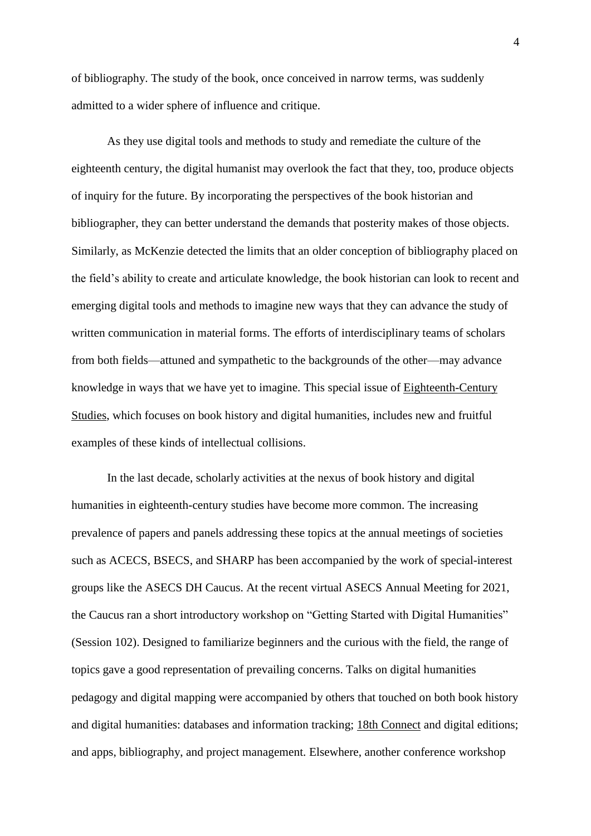of bibliography. The study of the book, once conceived in narrow terms, was suddenly admitted to a wider sphere of influence and critique.

As they use digital tools and methods to study and remediate the culture of the eighteenth century, the digital humanist may overlook the fact that they, too, produce objects of inquiry for the future. By incorporating the perspectives of the book historian and bibliographer, they can better understand the demands that posterity makes of those objects. Similarly, as McKenzie detected the limits that an older conception of bibliography placed on the field's ability to create and articulate knowledge, the book historian can look to recent and emerging digital tools and methods to imagine new ways that they can advance the study of written communication in material forms. The efforts of interdisciplinary teams of scholars from both fields—attuned and sympathetic to the backgrounds of the other—may advance knowledge in ways that we have yet to imagine. This special issue of Eighteenth-Century Studies, which focuses on book history and digital humanities, includes new and fruitful examples of these kinds of intellectual collisions.

In the last decade, scholarly activities at the nexus of book history and digital humanities in eighteenth-century studies have become more common. The increasing prevalence of papers and panels addressing these topics at the annual meetings of societies such as ACECS, BSECS, and SHARP has been accompanied by the work of special-interest groups like the ASECS DH Caucus. At the recent virtual ASECS Annual Meeting for 2021, the Caucus ran a short introductory workshop on "Getting Started with Digital Humanities" (Session 102). Designed to familiarize beginners and the curious with the field, the range of topics gave a good representation of prevailing concerns. Talks on digital humanities pedagogy and digital mapping were accompanied by others that touched on both book history and digital humanities: databases and information tracking; 18th Connect and digital editions; and apps, bibliography, and project management. Elsewhere, another conference workshop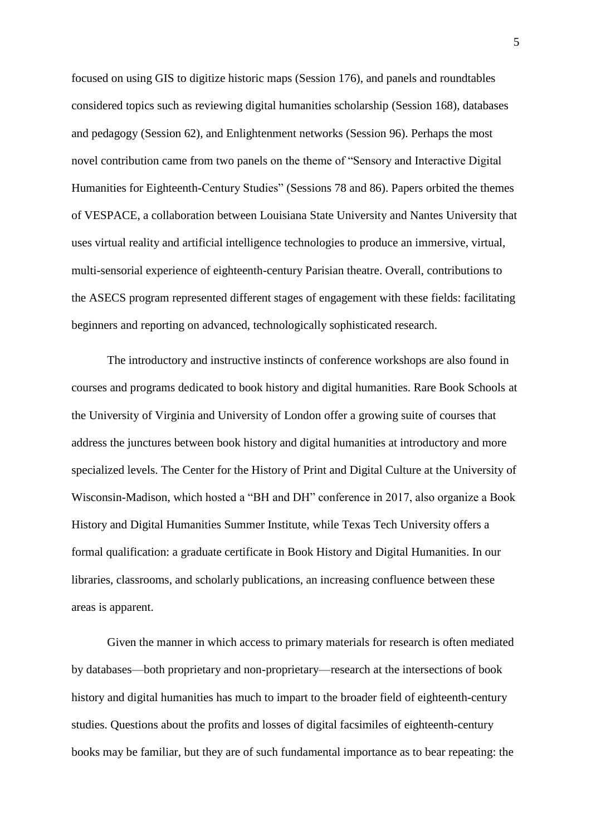focused on using GIS to digitize historic maps (Session 176), and panels and roundtables considered topics such as reviewing digital humanities scholarship (Session 168), databases and pedagogy (Session 62), and Enlightenment networks (Session 96). Perhaps the most novel contribution came from two panels on the theme of "Sensory and Interactive Digital Humanities for Eighteenth-Century Studies" (Sessions 78 and 86). Papers orbited the themes of VESPACE, a collaboration between Louisiana State University and Nantes University that uses virtual reality and artificial intelligence technologies to produce an immersive, virtual, multi-sensorial experience of eighteenth-century Parisian theatre. Overall, contributions to the ASECS program represented different stages of engagement with these fields: facilitating beginners and reporting on advanced, technologically sophisticated research.

The introductory and instructive instincts of conference workshops are also found in courses and programs dedicated to book history and digital humanities. Rare Book Schools at the University of Virginia and University of London offer a growing suite of courses that address the junctures between book history and digital humanities at introductory and more specialized levels. The Center for the History of Print and Digital Culture at the University of Wisconsin-Madison, which hosted a "BH and DH" conference in 2017, also organize a Book History and Digital Humanities Summer Institute, while Texas Tech University offers a formal qualification: a graduate certificate in Book History and Digital Humanities. In our libraries, classrooms, and scholarly publications, an increasing confluence between these areas is apparent.

Given the manner in which access to primary materials for research is often mediated by databases—both proprietary and non-proprietary—research at the intersections of book history and digital humanities has much to impart to the broader field of eighteenth-century studies. Questions about the profits and losses of digital facsimiles of eighteenth-century books may be familiar, but they are of such fundamental importance as to bear repeating: the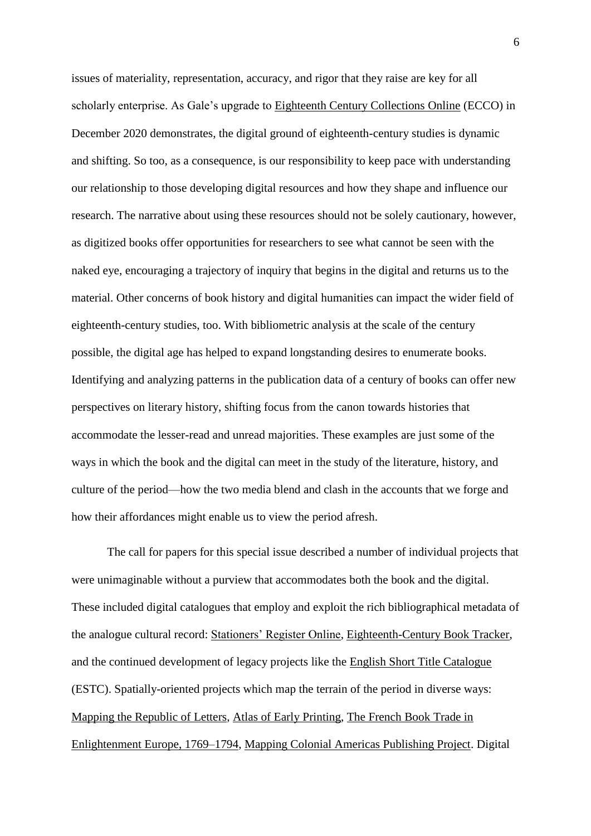issues of materiality, representation, accuracy, and rigor that they raise are key for all scholarly enterprise. As Gale's upgrade to Eighteenth Century Collections Online (ECCO) in December 2020 demonstrates, the digital ground of eighteenth-century studies is dynamic and shifting. So too, as a consequence, is our responsibility to keep pace with understanding our relationship to those developing digital resources and how they shape and influence our research. The narrative about using these resources should not be solely cautionary, however, as digitized books offer opportunities for researchers to see what cannot be seen with the naked eye, encouraging a trajectory of inquiry that begins in the digital and returns us to the material. Other concerns of book history and digital humanities can impact the wider field of eighteenth-century studies, too. With bibliometric analysis at the scale of the century possible, the digital age has helped to expand longstanding desires to enumerate books. Identifying and analyzing patterns in the publication data of a century of books can offer new perspectives on literary history, shifting focus from the canon towards histories that accommodate the lesser-read and unread majorities. These examples are just some of the ways in which the book and the digital can meet in the study of the literature, history, and culture of the period—how the two media blend and clash in the accounts that we forge and how their affordances might enable us to view the period afresh.

The call for papers for this special issue described a number of individual projects that were unimaginable without a purview that accommodates both the book and the digital. These included digital catalogues that employ and exploit the rich bibliographical metadata of the analogue cultural record: Stationers' Register Online, Eighteenth-Century Book Tracker, and the continued development of legacy projects like the English Short Title Catalogue (ESTC). Spatially-oriented projects which map the terrain of the period in diverse ways: Mapping the Republic of Letters, Atlas of Early Printing, The French Book Trade in Enlightenment Europe, 1769–1794, Mapping Colonial Americas Publishing Project. Digital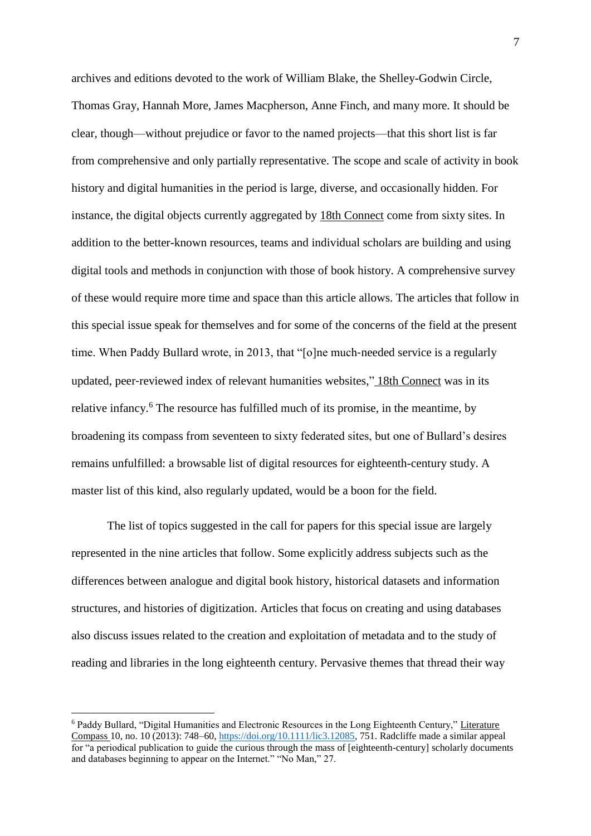archives and editions devoted to the work of William Blake, the Shelley-Godwin Circle, Thomas Gray, Hannah More, James Macpherson, Anne Finch, and many more. It should be clear, though—without prejudice or favor to the named projects—that this short list is far from comprehensive and only partially representative. The scope and scale of activity in book history and digital humanities in the period is large, diverse, and occasionally hidden. For instance, the digital objects currently aggregated by 18th Connect come from sixty sites. In addition to the better-known resources, teams and individual scholars are building and using digital tools and methods in conjunction with those of book history. A comprehensive survey of these would require more time and space than this article allows. The articles that follow in this special issue speak for themselves and for some of the concerns of the field at the present time. When Paddy Bullard wrote, in 2013, that "[o]ne much-needed service is a regularly updated, peer‐reviewed index of relevant humanities websites," 18th Connect was in its relative infancy.<sup>6</sup> The resource has fulfilled much of its promise, in the meantime, by broadening its compass from seventeen to sixty federated sites, but one of Bullard's desires remains unfulfilled: a browsable list of digital resources for eighteenth-century study. A master list of this kind, also regularly updated, would be a boon for the field.

The list of topics suggested in the call for papers for this special issue are largely represented in the nine articles that follow. Some explicitly address subjects such as the differences between analogue and digital book history, historical datasets and information structures, and histories of digitization. Articles that focus on creating and using databases also discuss issues related to the creation and exploitation of metadata and to the study of reading and libraries in the long eighteenth century. Pervasive themes that thread their way

<u>.</u>

<sup>6</sup> Paddy Bullard, "Digital Humanities and Electronic Resources in the Long Eighteenth Century," Literature Compass 10, no. 10 (2013): 748–60[, https://doi.org/10.1111/lic3.12085,](https://doi.org/10.1111/lic3.12085) 751. Radcliffe made a similar appeal for "a periodical publication to guide the curious through the mass of [eighteenth-century] scholarly documents and databases beginning to appear on the Internet." "No Man," 27.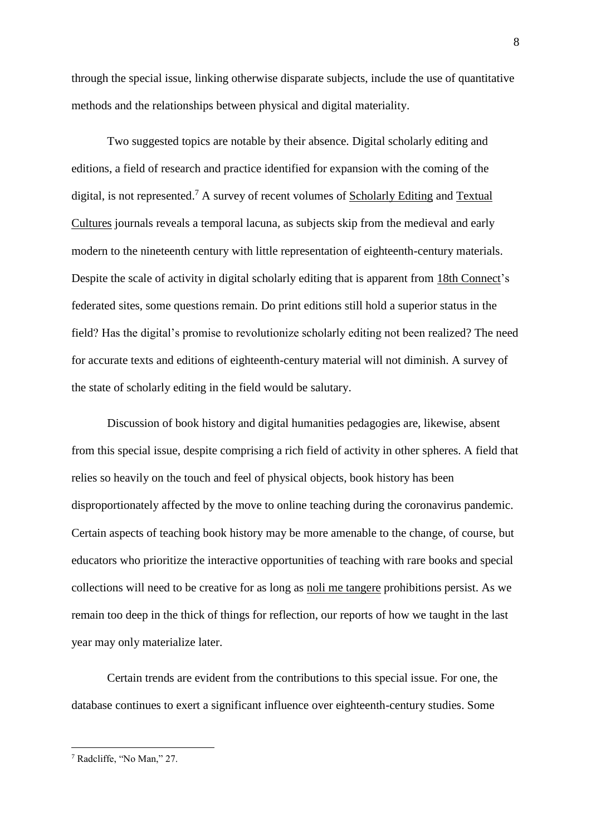through the special issue, linking otherwise disparate subjects, include the use of quantitative methods and the relationships between physical and digital materiality.

Two suggested topics are notable by their absence. Digital scholarly editing and editions, a field of research and practice identified for expansion with the coming of the digital, is not represented.<sup>7</sup> A survey of recent volumes of Scholarly Editing and Textual Cultures journals reveals a temporal lacuna, as subjects skip from the medieval and early modern to the nineteenth century with little representation of eighteenth-century materials. Despite the scale of activity in digital scholarly editing that is apparent from 18th Connect's federated sites, some questions remain. Do print editions still hold a superior status in the field? Has the digital's promise to revolutionize scholarly editing not been realized? The need for accurate texts and editions of eighteenth-century material will not diminish. A survey of the state of scholarly editing in the field would be salutary.

Discussion of book history and digital humanities pedagogies are, likewise, absent from this special issue, despite comprising a rich field of activity in other spheres. A field that relies so heavily on the touch and feel of physical objects, book history has been disproportionately affected by the move to online teaching during the coronavirus pandemic. Certain aspects of teaching book history may be more amenable to the change, of course, but educators who prioritize the interactive opportunities of teaching with rare books and special collections will need to be creative for as long as noli me tangere prohibitions persist. As we remain too deep in the thick of things for reflection, our reports of how we taught in the last year may only materialize later.

Certain trends are evident from the contributions to this special issue. For one, the database continues to exert a significant influence over eighteenth-century studies. Some

<sup>&</sup>lt;u>.</u> <sup>7</sup> Radcliffe, "No Man," 27.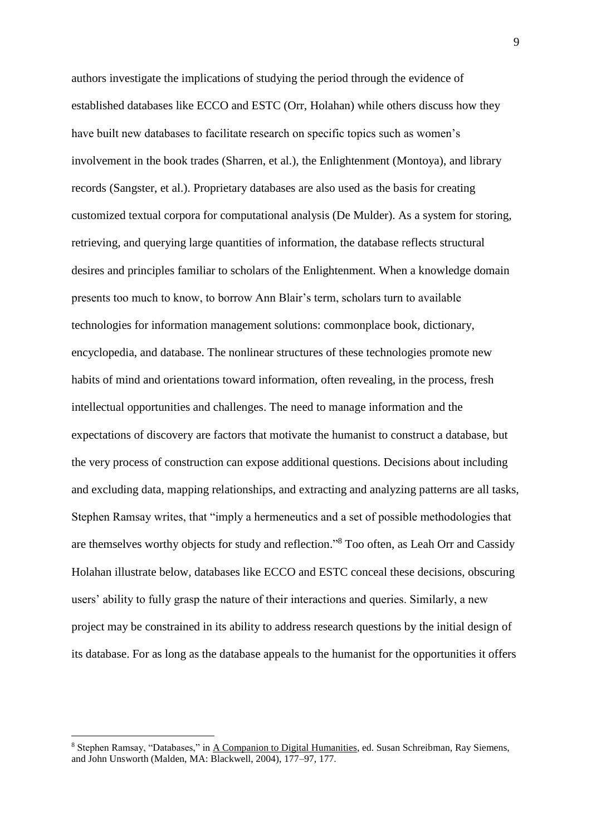authors investigate the implications of studying the period through the evidence of established databases like ECCO and ESTC (Orr, Holahan) while others discuss how they have built new databases to facilitate research on specific topics such as women's involvement in the book trades (Sharren, et al.), the Enlightenment (Montoya), and library records (Sangster, et al.). Proprietary databases are also used as the basis for creating customized textual corpora for computational analysis (De Mulder). As a system for storing, retrieving, and querying large quantities of information, the database reflects structural desires and principles familiar to scholars of the Enlightenment. When a knowledge domain presents too much to know, to borrow Ann Blair's term, scholars turn to available technologies for information management solutions: commonplace book, dictionary, encyclopedia, and database. The nonlinear structures of these technologies promote new habits of mind and orientations toward information, often revealing, in the process, fresh intellectual opportunities and challenges. The need to manage information and the expectations of discovery are factors that motivate the humanist to construct a database, but the very process of construction can expose additional questions. Decisions about including and excluding data, mapping relationships, and extracting and analyzing patterns are all tasks, Stephen Ramsay writes, that "imply a hermeneutics and a set of possible methodologies that are themselves worthy objects for study and reflection."<sup>8</sup> Too often, as Leah Orr and Cassidy Holahan illustrate below, databases like ECCO and ESTC conceal these decisions, obscuring users' ability to fully grasp the nature of their interactions and queries. Similarly, a new project may be constrained in its ability to address research questions by the initial design of its database. For as long as the database appeals to the humanist for the opportunities it offers

<sup>8</sup> Stephen Ramsay, "Databases," in A Companion to Digital Humanities, ed. Susan Schreibman, Ray Siemens, and John Unsworth (Malden, MA: Blackwell, 2004), 177–97, 177.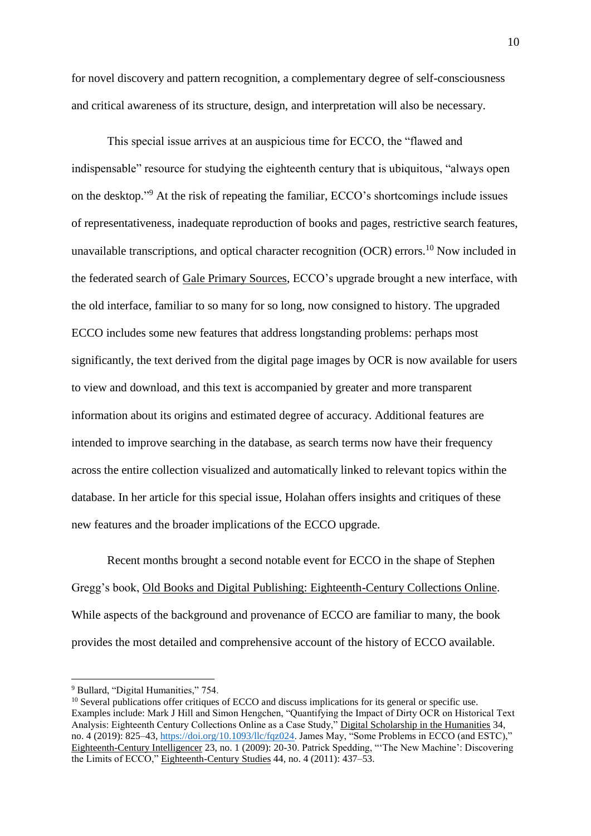for novel discovery and pattern recognition, a complementary degree of self-consciousness and critical awareness of its structure, design, and interpretation will also be necessary.

This special issue arrives at an auspicious time for ECCO, the "flawed and indispensable" resource for studying the eighteenth century that is ubiquitous, "always open on the desktop." <sup>9</sup> At the risk of repeating the familiar, ECCO's shortcomings include issues of representativeness, inadequate reproduction of books and pages, restrictive search features, unavailable transcriptions, and optical character recognition  $(OCR)$  errors.<sup>10</sup> Now included in the federated search of Gale Primary Sources, ECCO's upgrade brought a new interface, with the old interface, familiar to so many for so long, now consigned to history. The upgraded ECCO includes some new features that address longstanding problems: perhaps most significantly, the text derived from the digital page images by OCR is now available for users to view and download, and this text is accompanied by greater and more transparent information about its origins and estimated degree of accuracy. Additional features are intended to improve searching in the database, as search terms now have their frequency across the entire collection visualized and automatically linked to relevant topics within the database. In her article for this special issue, Holahan offers insights and critiques of these new features and the broader implications of the ECCO upgrade.

Recent months brought a second notable event for ECCO in the shape of Stephen Gregg's book, Old Books and Digital Publishing: Eighteenth-Century Collections Online. While aspects of the background and provenance of ECCO are familiar to many, the book provides the most detailed and comprehensive account of the history of ECCO available.

<sup>&</sup>lt;sup>9</sup> Bullard, "Digital Humanities," 754.

<sup>&</sup>lt;sup>10</sup> Several publications offer critiques of ECCO and discuss implications for its general or specific use. Examples include: Mark J Hill and Simon Hengchen, "Quantifying the Impact of Dirty OCR on Historical Text Analysis: Eighteenth Century Collections Online as a Case Study," Digital Scholarship in the Humanities 34, no. 4 (2019): 825–43[, https://doi.org/10.1093/llc/fqz024.](https://doi.org/10.1093/llc/fqz024) James May, "Some Problems in ECCO (and ESTC)," Eighteenth-Century Intelligencer 23, no. 1 (2009): 20-30. Patrick Spedding, "'The New Machine': Discovering the Limits of ECCO," Eighteenth-Century Studies 44, no. 4 (2011): 437–53.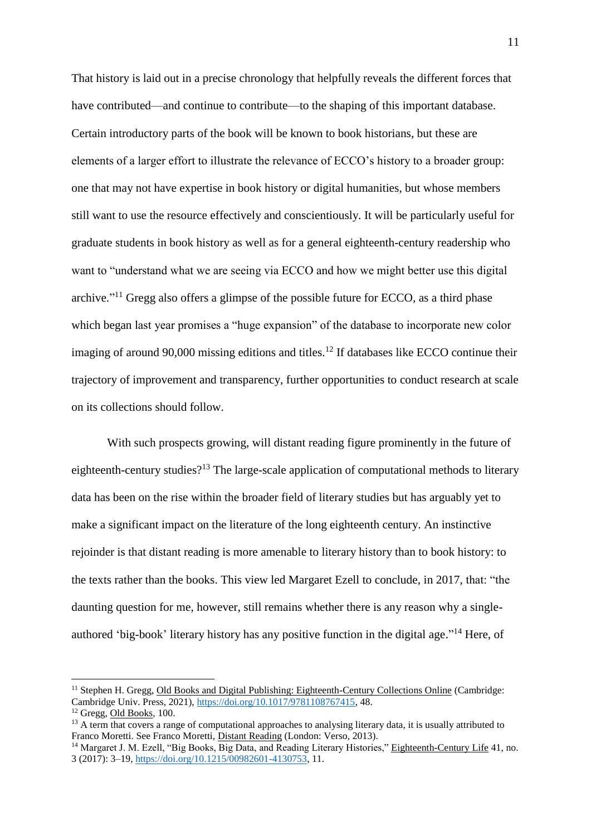That history is laid out in a precise chronology that helpfully reveals the different forces that have contributed—and continue to contribute—to the shaping of this important database. Certain introductory parts of the book will be known to book historians, but these are elements of a larger effort to illustrate the relevance of ECCO's history to a broader group: one that may not have expertise in book history or digital humanities, but whose members still want to use the resource effectively and conscientiously. It will be particularly useful for graduate students in book history as well as for a general eighteenth-century readership who want to "understand what we are seeing via ECCO and how we might better use this digital archive."<sup>11</sup> Gregg also offers a glimpse of the possible future for ECCO, as a third phase which began last year promises a "huge expansion" of the database to incorporate new color imaging of around 90,000 missing editions and titles.<sup>12</sup> If databases like ECCO continue their trajectory of improvement and transparency, further opportunities to conduct research at scale on its collections should follow.

With such prospects growing, will distant reading figure prominently in the future of eighteenth-century studies?<sup>13</sup> The large-scale application of computational methods to literary data has been on the rise within the broader field of literary studies but has arguably yet to make a significant impact on the literature of the long eighteenth century. An instinctive rejoinder is that distant reading is more amenable to literary history than to book history: to the texts rather than the books. This view led Margaret Ezell to conclude, in 2017, that: "the daunting question for me, however, still remains whether there is any reason why a singleauthored 'big-book' literary history has any positive function in the digital age."<sup>14</sup> Here, of

<sup>&</sup>lt;sup>11</sup> Stephen H. Gregg, Old Books and Digital Publishing: Eighteenth-Century Collections Online (Cambridge: Cambridge Univ. Press, 2021), [https://doi.org/10.1017/9781108767415,](https://doi.org/10.1017/9781108767415) 48.

<sup>12</sup> Gregg, Old Books*,* 100.

<sup>&</sup>lt;sup>13</sup> A term that covers a range of computational approaches to analysing literary data, it is usually attributed to Franco Moretti. See Franco Moretti, Distant Reading (London: Verso, 2013).

<sup>&</sup>lt;sup>14</sup> Margaret J. M. Ezell, "Big Books, Big Data, and Reading Literary Histories," Eighteenth-Century Life 41, no. 3 (2017): 3–19[, https://doi.org/10.1215/00982601-4130753,](https://doi.org/10.1215/00982601-4130753) 11.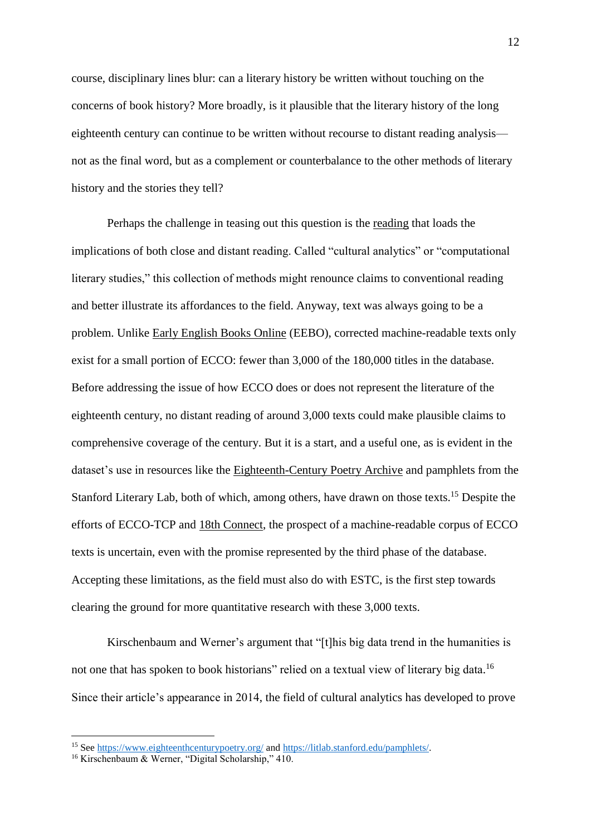course, disciplinary lines blur: can a literary history be written without touching on the concerns of book history? More broadly, is it plausible that the literary history of the long eighteenth century can continue to be written without recourse to distant reading analysis not as the final word, but as a complement or counterbalance to the other methods of literary history and the stories they tell?

Perhaps the challenge in teasing out this question is the reading that loads the implications of both close and distant reading. Called "cultural analytics" or "computational literary studies," this collection of methods might renounce claims to conventional reading and better illustrate its affordances to the field. Anyway, text was always going to be a problem. Unlike Early English Books Online (EEBO), corrected machine-readable texts only exist for a small portion of ECCO: fewer than 3,000 of the 180,000 titles in the database. Before addressing the issue of how ECCO does or does not represent the literature of the eighteenth century, no distant reading of around 3,000 texts could make plausible claims to comprehensive coverage of the century. But it is a start, and a useful one, as is evident in the dataset's use in resources like the Eighteenth-Century Poetry Archive and pamphlets from the Stanford Literary Lab, both of which, among others, have drawn on those texts.<sup>15</sup> Despite the efforts of ECCO-TCP and 18th Connect, the prospect of a machine-readable corpus of ECCO texts is uncertain, even with the promise represented by the third phase of the database. Accepting these limitations, as the field must also do with ESTC, is the first step towards clearing the ground for more quantitative research with these 3,000 texts.

Kirschenbaum and Werner's argument that "[t]his big data trend in the humanities is not one that has spoken to book historians" relied on a textual view of literary big data.<sup>16</sup> Since their article's appearance in 2014, the field of cultural analytics has developed to prove

<sup>&</sup>lt;sup>15</sup> See<https://www.eighteenthcenturypoetry.org/> and https://litlab.stanford.edu/pamphlets/.

<sup>16</sup> Kirschenbaum & Werner, "Digital Scholarship," 410.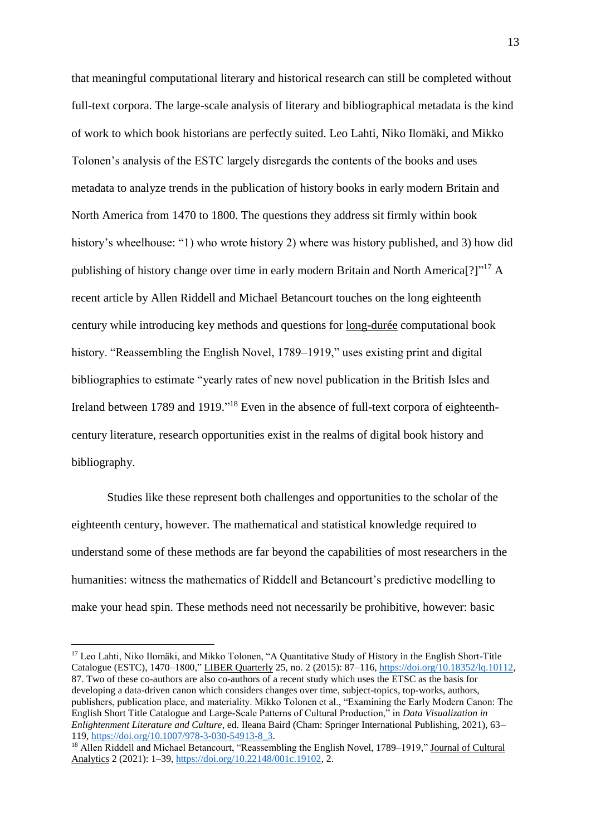that meaningful computational literary and historical research can still be completed without full-text corpora. The large-scale analysis of literary and bibliographical metadata is the kind of work to which book historians are perfectly suited. Leo Lahti, Niko Ilomäki, and Mikko Tolonen's analysis of the ESTC largely disregards the contents of the books and uses metadata to analyze trends in the publication of history books in early modern Britain and North America from 1470 to 1800. The questions they address sit firmly within book history's wheelhouse: "1) who wrote history 2) where was history published, and 3) how did publishing of history change over time in early modern Britain and North America<sup>[?]"17</sup> A recent article by Allen Riddell and Michael Betancourt touches on the long eighteenth century while introducing key methods and questions for long-durée computational book history. "Reassembling the English Novel, 1789–1919," uses existing print and digital bibliographies to estimate "yearly rates of new novel publication in the British Isles and Ireland between 1789 and 1919."<sup>18</sup> Even in the absence of full-text corpora of eighteenthcentury literature, research opportunities exist in the realms of digital book history and bibliography.

Studies like these represent both challenges and opportunities to the scholar of the eighteenth century, however. The mathematical and statistical knowledge required to understand some of these methods are far beyond the capabilities of most researchers in the humanities: witness the mathematics of Riddell and Betancourt's predictive modelling to make your head spin. These methods need not necessarily be prohibitive, however: basic

<u>.</u>

<sup>&</sup>lt;sup>17</sup> Leo Lahti, Niko Ilomäki, and Mikko Tolonen, "A Quantitative Study of History in the English Short-Title Catalogue (ESTC), 1470–1800," LIBER Quarterly 25, no. 2 (2015): 87–116, [https://doi.org/10.18352/lq.10112,](https://doi.org/10.18352/lq.10112) 87. Two of these co-authors are also co-authors of a recent study which uses the ETSC as the basis for developing a data-driven canon which considers changes over time, subject-topics, top-works, authors, publishers, publication place, and materiality. Mikko Tolonen et al., "Examining the Early Modern Canon: The English Short Title Catalogue and Large-Scale Patterns of Cultural Production," in *Data Visualization in Enlightenment Literature and Culture*, ed. Ileana Baird (Cham: Springer International Publishing, 2021), 63– 119, [https://doi.org/10.1007/978-3-030-54913-8\\_3.](https://doi.org/10.1007/978-3-030-54913-8_3)

<sup>&</sup>lt;sup>18</sup> Allen Riddell and Michael Betancourt, "Reassembling the English Novel, 1789–1919," Journal of Cultural Analytics 2 (2021): 1–39, [https://doi.org/10.22148/001c.19102,](https://doi.org/10.22148/001c.19102) 2.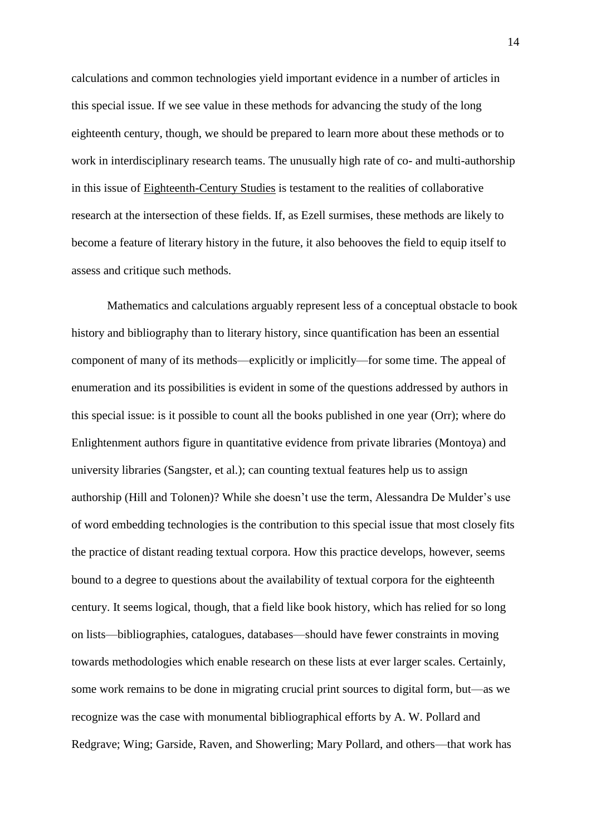calculations and common technologies yield important evidence in a number of articles in this special issue. If we see value in these methods for advancing the study of the long eighteenth century, though, we should be prepared to learn more about these methods or to work in interdisciplinary research teams. The unusually high rate of co- and multi-authorship in this issue of Eighteenth-Century Studies is testament to the realities of collaborative research at the intersection of these fields. If, as Ezell surmises, these methods are likely to become a feature of literary history in the future, it also behooves the field to equip itself to assess and critique such methods.

Mathematics and calculations arguably represent less of a conceptual obstacle to book history and bibliography than to literary history, since quantification has been an essential component of many of its methods—explicitly or implicitly—for some time. The appeal of enumeration and its possibilities is evident in some of the questions addressed by authors in this special issue: is it possible to count all the books published in one year (Orr); where do Enlightenment authors figure in quantitative evidence from private libraries (Montoya) and university libraries (Sangster, et al.); can counting textual features help us to assign authorship (Hill and Tolonen)? While she doesn't use the term, Alessandra De Mulder's use of word embedding technologies is the contribution to this special issue that most closely fits the practice of distant reading textual corpora. How this practice develops, however, seems bound to a degree to questions about the availability of textual corpora for the eighteenth century. It seems logical, though, that a field like book history, which has relied for so long on lists—bibliographies, catalogues, databases—should have fewer constraints in moving towards methodologies which enable research on these lists at ever larger scales. Certainly, some work remains to be done in migrating crucial print sources to digital form, but—as we recognize was the case with monumental bibliographical efforts by A. W. Pollard and Redgrave; Wing; Garside, Raven, and Showerling; Mary Pollard, and others—that work has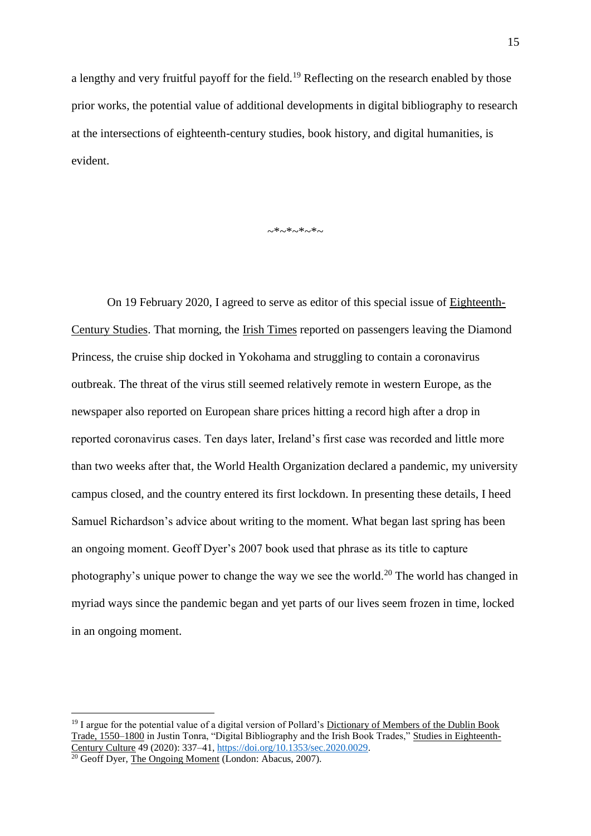a lengthy and very fruitful payoff for the field.<sup>19</sup> Reflecting on the research enabled by those prior works, the potential value of additional developments in digital bibliography to research at the intersections of eighteenth-century studies, book history, and digital humanities, is evident.

 $~~\sim~*~~~\sim~*~~~\sim~*~~\sim~$ 

On 19 February 2020, I agreed to serve as editor of this special issue of Eighteenth-Century Studies. That morning, the Irish Times reported on passengers leaving the Diamond Princess, the cruise ship docked in Yokohama and struggling to contain a coronavirus outbreak. The threat of the virus still seemed relatively remote in western Europe, as the newspaper also reported on European share prices hitting a record high after a drop in reported coronavirus cases. Ten days later, Ireland's first case was recorded and little more than two weeks after that, the World Health Organization declared a pandemic, my university campus closed, and the country entered its first lockdown. In presenting these details, I heed Samuel Richardson's advice about writing to the moment. What began last spring has been an ongoing moment. Geoff Dyer's 2007 book used that phrase as its title to capture photography's unique power to change the way we see the world.<sup>20</sup> The world has changed in myriad ways since the pandemic began and yet parts of our lives seem frozen in time, locked in an ongoing moment.

<u>.</u>

<sup>&</sup>lt;sup>19</sup> I argue for the potential value of a digital version of Pollard's Dictionary of Members of the Dublin Book Trade, 1550–1800 in Justin Tonra, "Digital Bibliography and the Irish Book Trades," Studies in Eighteenth-Century Culture 49 (2020): 337–41[, https://doi.org/10.1353/sec.2020.0029.](https://doi.org/10.1353/sec.2020.0029)

<sup>&</sup>lt;sup>20</sup> Geoff Dyer, The Ongoing Moment (London: Abacus, 2007).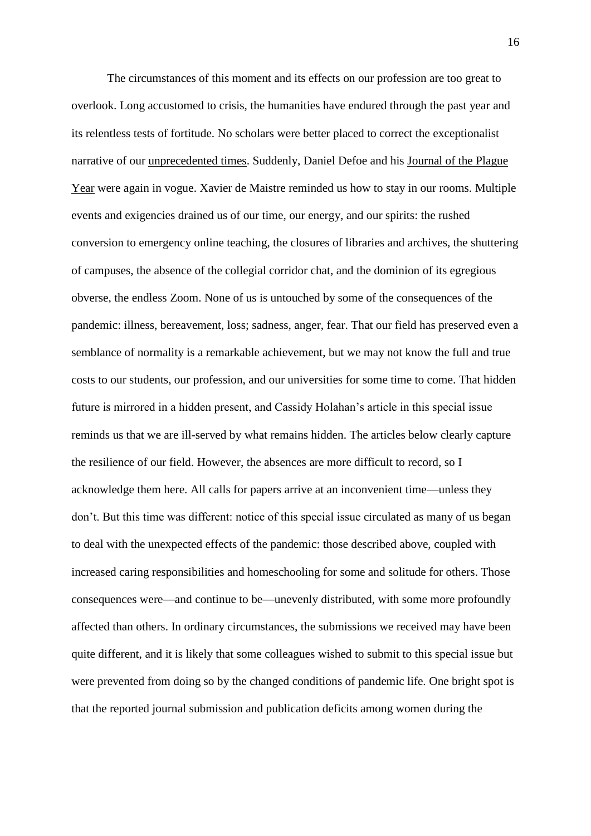The circumstances of this moment and its effects on our profession are too great to overlook. Long accustomed to crisis, the humanities have endured through the past year and its relentless tests of fortitude. No scholars were better placed to correct the exceptionalist narrative of our unprecedented times. Suddenly, Daniel Defoe and his Journal of the Plague Year were again in vogue. Xavier de Maistre reminded us how to stay in our rooms. Multiple events and exigencies drained us of our time, our energy, and our spirits: the rushed conversion to emergency online teaching, the closures of libraries and archives, the shuttering of campuses, the absence of the collegial corridor chat, and the dominion of its egregious obverse, the endless Zoom. None of us is untouched by some of the consequences of the pandemic: illness, bereavement, loss; sadness, anger, fear. That our field has preserved even a semblance of normality is a remarkable achievement, but we may not know the full and true costs to our students, our profession, and our universities for some time to come. That hidden future is mirrored in a hidden present, and Cassidy Holahan's article in this special issue reminds us that we are ill-served by what remains hidden. The articles below clearly capture the resilience of our field. However, the absences are more difficult to record, so I acknowledge them here. All calls for papers arrive at an inconvenient time—unless they don't. But this time was different: notice of this special issue circulated as many of us began to deal with the unexpected effects of the pandemic: those described above, coupled with increased caring responsibilities and homeschooling for some and solitude for others. Those consequences were—and continue to be—unevenly distributed, with some more profoundly affected than others. In ordinary circumstances, the submissions we received may have been quite different, and it is likely that some colleagues wished to submit to this special issue but were prevented from doing so by the changed conditions of pandemic life. One bright spot is that the reported journal submission and publication deficits among women during the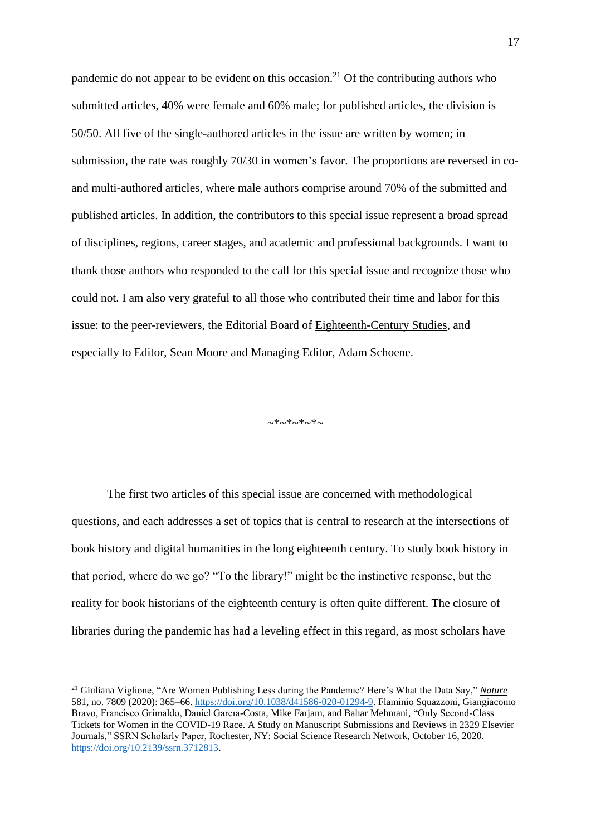pandemic do not appear to be evident on this occasion.<sup>21</sup> Of the contributing authors who submitted articles, 40% were female and 60% male; for published articles, the division is 50/50. All five of the single-authored articles in the issue are written by women; in submission, the rate was roughly 70/30 in women's favor. The proportions are reversed in coand multi-authored articles, where male authors comprise around 70% of the submitted and published articles. In addition, the contributors to this special issue represent a broad spread of disciplines, regions, career stages, and academic and professional backgrounds. I want to thank those authors who responded to the call for this special issue and recognize those who could not. I am also very grateful to all those who contributed their time and labor for this issue: to the peer-reviewers, the Editorial Board of Eighteenth-Century Studies, and especially to Editor, Sean Moore and Managing Editor, Adam Schoene.

 $~\sim$ \* $~\sim$ \* $~\sim$ \* $~\sim$ 

The first two articles of this special issue are concerned with methodological questions, and each addresses a set of topics that is central to research at the intersections of book history and digital humanities in the long eighteenth century. To study book history in that period, where do we go? "To the library!" might be the instinctive response, but the reality for book historians of the eighteenth century is often quite different. The closure of libraries during the pandemic has had a leveling effect in this regard, as most scholars have

<sup>21</sup> Giuliana Viglione, "Are Women Publishing Less during the Pandemic? Here's What the Data Say," *Nature* 581, no. 7809 (2020): 365–66[. https://doi.org/10.1038/d41586-020-01294-9.](https://doi.org/10.1038/d41586-020-01294-9) Flaminio Squazzoni, Giangiacomo Bravo, Francisco Grimaldo, Daniel Garcıa-Costa, Mike Farjam, and Bahar Mehmani, "Only Second-Class Tickets for Women in the COVID-19 Race. A Study on Manuscript Submissions and Reviews in 2329 Elsevier Journals," SSRN Scholarly Paper, Rochester, NY: Social Science Research Network, October 16, 2020. [https://doi.org/10.2139/ssrn.3712813.](https://doi.org/10.2139/ssrn.3712813)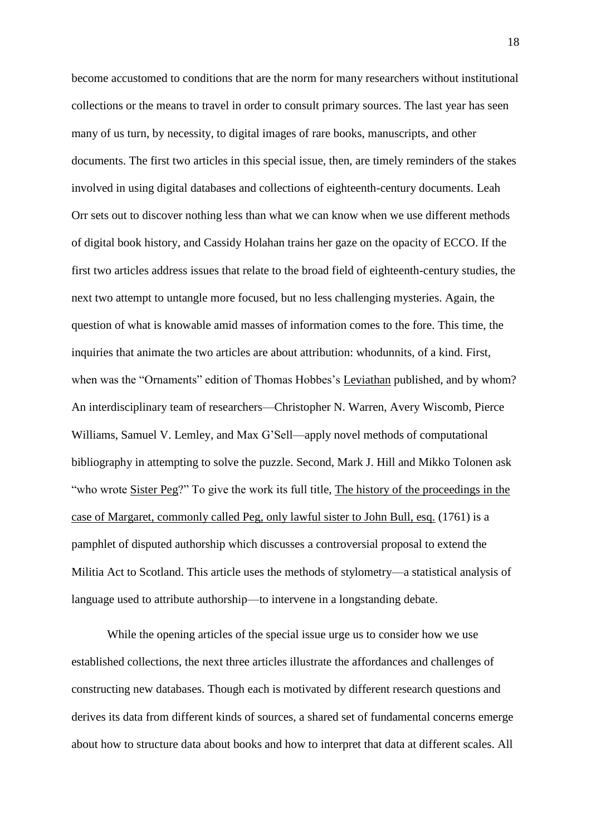become accustomed to conditions that are the norm for many researchers without institutional collections or the means to travel in order to consult primary sources. The last year has seen many of us turn, by necessity, to digital images of rare books, manuscripts, and other documents. The first two articles in this special issue, then, are timely reminders of the stakes involved in using digital databases and collections of eighteenth-century documents. Leah Orr sets out to discover nothing less than what we can know when we use different methods of digital book history, and Cassidy Holahan trains her gaze on the opacity of ECCO. If the first two articles address issues that relate to the broad field of eighteenth-century studies, the next two attempt to untangle more focused, but no less challenging mysteries. Again, the question of what is knowable amid masses of information comes to the fore. This time, the inquiries that animate the two articles are about attribution: whodunnits, of a kind. First, when was the "Ornaments" edition of Thomas Hobbes's Leviathan published, and by whom? An interdisciplinary team of researchers—Christopher N. Warren, Avery Wiscomb, Pierce Williams, Samuel V. Lemley, and Max G'Sell—apply novel methods of computational bibliography in attempting to solve the puzzle. Second, Mark J. Hill and Mikko Tolonen ask "who wrote Sister Peg?" To give the work its full title, The history of the proceedings in the case of Margaret, commonly called Peg, only lawful sister to John Bull, esq. (1761) is a pamphlet of disputed authorship which discusses a controversial proposal to extend the Militia Act to Scotland. This article uses the methods of stylometry—a statistical analysis of language used to attribute authorship—to intervene in a longstanding debate.

While the opening articles of the special issue urge us to consider how we use established collections, the next three articles illustrate the affordances and challenges of constructing new databases. Though each is motivated by different research questions and derives its data from different kinds of sources, a shared set of fundamental concerns emerge about how to structure data about books and how to interpret that data at different scales. All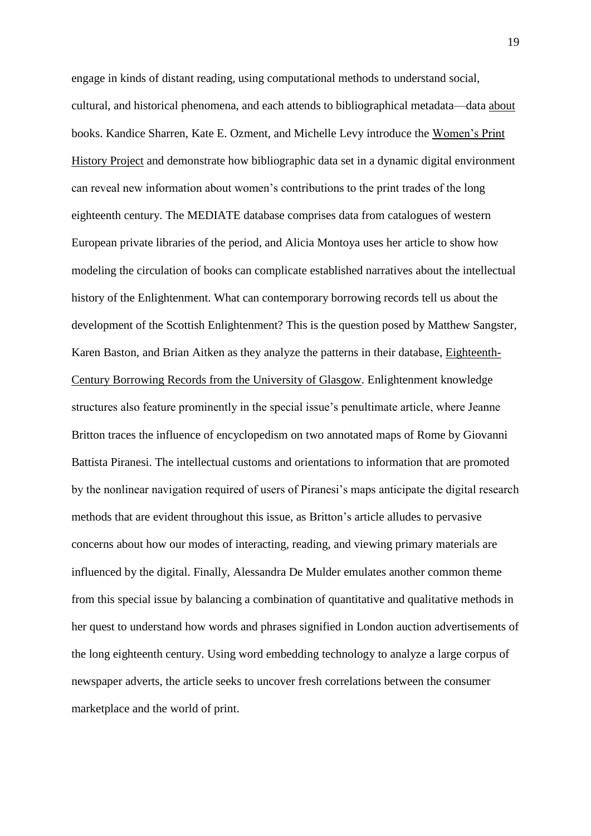engage in kinds of distant reading, using computational methods to understand social, cultural, and historical phenomena, and each attends to bibliographical metadata—data about books. Kandice Sharren, Kate E. Ozment, and Michelle Levy introduce the Women's Print History Project and demonstrate how bibliographic data set in a dynamic digital environment can reveal new information about women's contributions to the print trades of the long eighteenth century. The MEDIATE database comprises data from catalogues of western European private libraries of the period, and Alicia Montoya uses her article to show how modeling the circulation of books can complicate established narratives about the intellectual history of the Enlightenment. What can contemporary borrowing records tell us about the development of the Scottish Enlightenment? This is the question posed by Matthew Sangster, Karen Baston, and Brian Aitken as they analyze the patterns in their database, Eighteenth-Century Borrowing Records from the University of Glasgow. Enlightenment knowledge structures also feature prominently in the special issue's penultimate article, where Jeanne Britton traces the influence of encyclopedism on two annotated maps of Rome by Giovanni Battista Piranesi. The intellectual customs and orientations to information that are promoted by the nonlinear navigation required of users of Piranesi's maps anticipate the digital research methods that are evident throughout this issue, as Britton's article alludes to pervasive concerns about how our modes of interacting, reading, and viewing primary materials are influenced by the digital. Finally, Alessandra De Mulder emulates another common theme from this special issue by balancing a combination of quantitative and qualitative methods in her quest to understand how words and phrases signified in London auction advertisements of the long eighteenth century. Using word embedding technology to analyze a large corpus of newspaper adverts, the article seeks to uncover fresh correlations between the consumer marketplace and the world of print.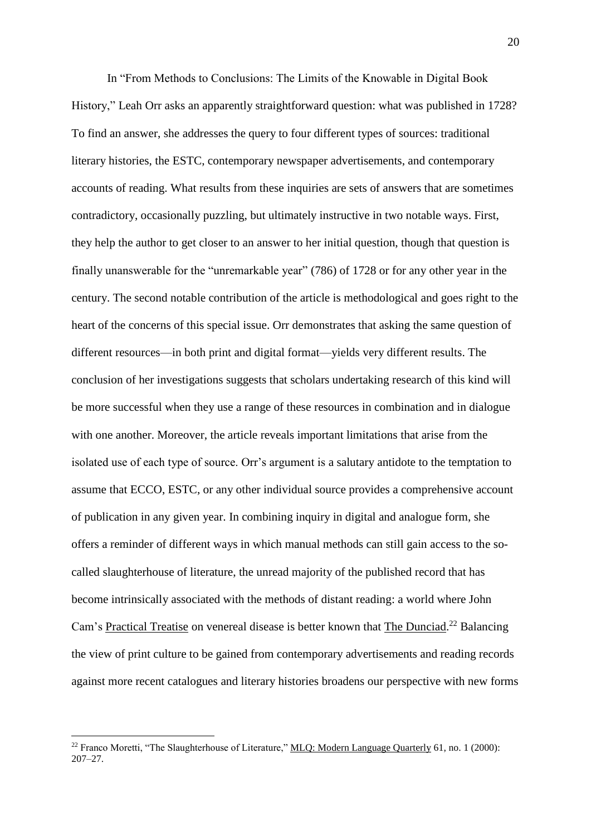In "From Methods to Conclusions: The Limits of the Knowable in Digital Book History," Leah Orr asks an apparently straightforward question: what was published in 1728? To find an answer, she addresses the query to four different types of sources: traditional literary histories, the ESTC, contemporary newspaper advertisements, and contemporary accounts of reading. What results from these inquiries are sets of answers that are sometimes contradictory, occasionally puzzling, but ultimately instructive in two notable ways. First, they help the author to get closer to an answer to her initial question, though that question is finally unanswerable for the "unremarkable year" (786) of 1728 or for any other year in the century. The second notable contribution of the article is methodological and goes right to the heart of the concerns of this special issue. Orr demonstrates that asking the same question of different resources—in both print and digital format—yields very different results. The conclusion of her investigations suggests that scholars undertaking research of this kind will be more successful when they use a range of these resources in combination and in dialogue with one another. Moreover, the article reveals important limitations that arise from the isolated use of each type of source. Orr's argument is a salutary antidote to the temptation to assume that ECCO, ESTC, or any other individual source provides a comprehensive account of publication in any given year. In combining inquiry in digital and analogue form, she offers a reminder of different ways in which manual methods can still gain access to the socalled slaughterhouse of literature, the unread majority of the published record that has become intrinsically associated with the methods of distant reading: a world where John Cam's Practical Treatise on venereal disease is better known that The Dunciad.<sup>22</sup> Balancing the view of print culture to be gained from contemporary advertisements and reading records against more recent catalogues and literary histories broadens our perspective with new forms

<sup>&</sup>lt;sup>22</sup> Franco Moretti, "The Slaughterhouse of Literature," MLQ: Modern Language Quarterly 61, no. 1 (2000): 207–27.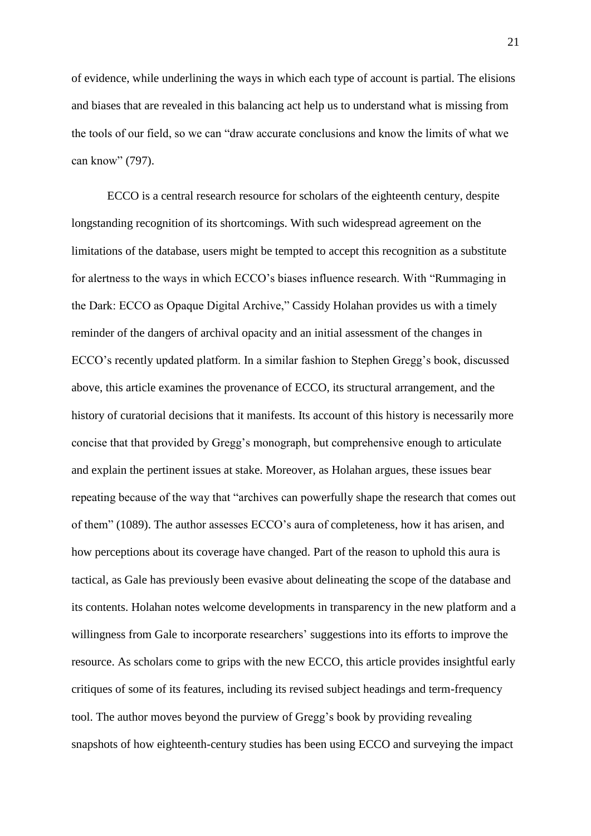of evidence, while underlining the ways in which each type of account is partial. The elisions and biases that are revealed in this balancing act help us to understand what is missing from the tools of our field, so we can "draw accurate conclusions and know the limits of what we can know" (797).

ECCO is a central research resource for scholars of the eighteenth century, despite longstanding recognition of its shortcomings. With such widespread agreement on the limitations of the database, users might be tempted to accept this recognition as a substitute for alertness to the ways in which ECCO's biases influence research. With "Rummaging in the Dark: ECCO as Opaque Digital Archive," Cassidy Holahan provides us with a timely reminder of the dangers of archival opacity and an initial assessment of the changes in ECCO's recently updated platform. In a similar fashion to Stephen Gregg's book, discussed above, this article examines the provenance of ECCO, its structural arrangement, and the history of curatorial decisions that it manifests. Its account of this history is necessarily more concise that that provided by Gregg's monograph, but comprehensive enough to articulate and explain the pertinent issues at stake. Moreover, as Holahan argues, these issues bear repeating because of the way that "archives can powerfully shape the research that comes out of them" (1089). The author assesses ECCO's aura of completeness, how it has arisen, and how perceptions about its coverage have changed. Part of the reason to uphold this aura is tactical, as Gale has previously been evasive about delineating the scope of the database and its contents. Holahan notes welcome developments in transparency in the new platform and a willingness from Gale to incorporate researchers' suggestions into its efforts to improve the resource. As scholars come to grips with the new ECCO, this article provides insightful early critiques of some of its features, including its revised subject headings and term-frequency tool. The author moves beyond the purview of Gregg's book by providing revealing snapshots of how eighteenth-century studies has been using ECCO and surveying the impact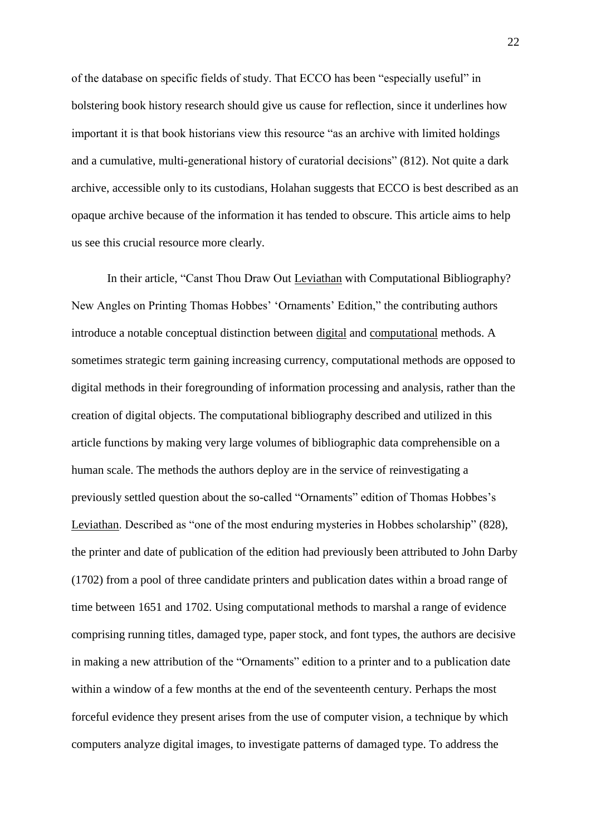of the database on specific fields of study. That ECCO has been "especially useful" in bolstering book history research should give us cause for reflection, since it underlines how important it is that book historians view this resource "as an archive with limited holdings and a cumulative, multi-generational history of curatorial decisions" (812). Not quite a dark archive, accessible only to its custodians, Holahan suggests that ECCO is best described as an opaque archive because of the information it has tended to obscure. This article aims to help us see this crucial resource more clearly.

In their article, "Canst Thou Draw Out Leviathan with Computational Bibliography? New Angles on Printing Thomas Hobbes' 'Ornaments' Edition," the contributing authors introduce a notable conceptual distinction between digital and computational methods. A sometimes strategic term gaining increasing currency, computational methods are opposed to digital methods in their foregrounding of information processing and analysis, rather than the creation of digital objects. The computational bibliography described and utilized in this article functions by making very large volumes of bibliographic data comprehensible on a human scale. The methods the authors deploy are in the service of reinvestigating a previously settled question about the so-called "Ornaments" edition of Thomas Hobbes's Leviathan. Described as "one of the most enduring mysteries in Hobbes scholarship" (828), the printer and date of publication of the edition had previously been attributed to John Darby (1702) from a pool of three candidate printers and publication dates within a broad range of time between 1651 and 1702. Using computational methods to marshal a range of evidence comprising running titles, damaged type, paper stock, and font types, the authors are decisive in making a new attribution of the "Ornaments" edition to a printer and to a publication date within a window of a few months at the end of the seventeenth century. Perhaps the most forceful evidence they present arises from the use of computer vision, a technique by which computers analyze digital images, to investigate patterns of damaged type. To address the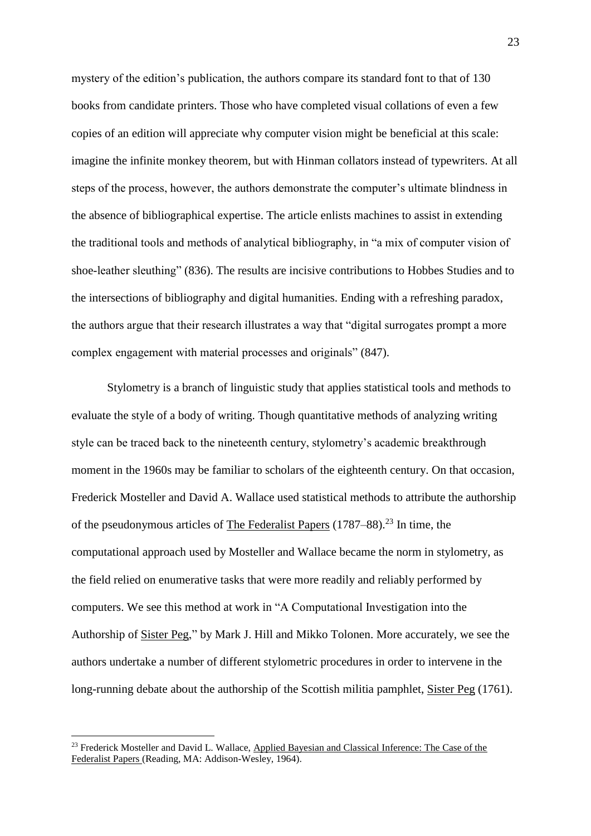mystery of the edition's publication, the authors compare its standard font to that of 130 books from candidate printers. Those who have completed visual collations of even a few copies of an edition will appreciate why computer vision might be beneficial at this scale: imagine the infinite monkey theorem, but with Hinman collators instead of typewriters. At all steps of the process, however, the authors demonstrate the computer's ultimate blindness in the absence of bibliographical expertise. The article enlists machines to assist in extending the traditional tools and methods of analytical bibliography, in "a mix of computer vision of shoe-leather sleuthing" (836). The results are incisive contributions to Hobbes Studies and to the intersections of bibliography and digital humanities. Ending with a refreshing paradox, the authors argue that their research illustrates a way that "digital surrogates prompt a more complex engagement with material processes and originals" (847).

Stylometry is a branch of linguistic study that applies statistical tools and methods to evaluate the style of a body of writing. Though quantitative methods of analyzing writing style can be traced back to the nineteenth century, stylometry's academic breakthrough moment in the 1960s may be familiar to scholars of the eighteenth century. On that occasion, Frederick Mosteller and David A. Wallace used statistical methods to attribute the authorship of the pseudonymous articles of The Federalist Papers  $(1787–88)$ <sup>23</sup> In time, the computational approach used by Mosteller and Wallace became the norm in stylometry, as the field relied on enumerative tasks that were more readily and reliably performed by computers. We see this method at work in "A Computational Investigation into the Authorship of Sister Peg," by Mark J. Hill and Mikko Tolonen. More accurately, we see the authors undertake a number of different stylometric procedures in order to intervene in the long-running debate about the authorship of the Scottish militia pamphlet, Sister Peg (1761).

<sup>&</sup>lt;sup>23</sup> Frederick Mosteller and David L. Wallace, Applied Bayesian and Classical Inference: The Case of the Federalist Papers (Reading, MA: Addison-Wesley, 1964).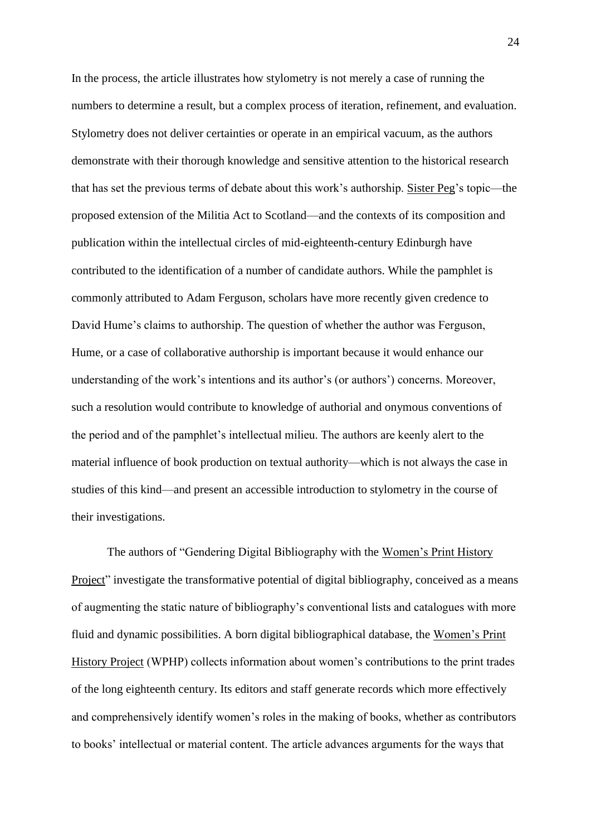In the process, the article illustrates how stylometry is not merely a case of running the numbers to determine a result, but a complex process of iteration, refinement, and evaluation. Stylometry does not deliver certainties or operate in an empirical vacuum, as the authors demonstrate with their thorough knowledge and sensitive attention to the historical research that has set the previous terms of debate about this work's authorship. Sister Peg's topic—the proposed extension of the Militia Act to Scotland—and the contexts of its composition and publication within the intellectual circles of mid-eighteenth-century Edinburgh have contributed to the identification of a number of candidate authors. While the pamphlet is commonly attributed to Adam Ferguson, scholars have more recently given credence to David Hume's claims to authorship. The question of whether the author was Ferguson, Hume, or a case of collaborative authorship is important because it would enhance our understanding of the work's intentions and its author's (or authors') concerns. Moreover, such a resolution would contribute to knowledge of authorial and onymous conventions of the period and of the pamphlet's intellectual milieu. The authors are keenly alert to the material influence of book production on textual authority—which is not always the case in studies of this kind—and present an accessible introduction to stylometry in the course of their investigations.

The authors of "Gendering Digital Bibliography with the Women's Print History Project" investigate the transformative potential of digital bibliography, conceived as a means of augmenting the static nature of bibliography's conventional lists and catalogues with more fluid and dynamic possibilities. A born digital bibliographical database, the Women's Print History Project (WPHP) collects information about women's contributions to the print trades of the long eighteenth century. Its editors and staff generate records which more effectively and comprehensively identify women's roles in the making of books, whether as contributors to books' intellectual or material content. The article advances arguments for the ways that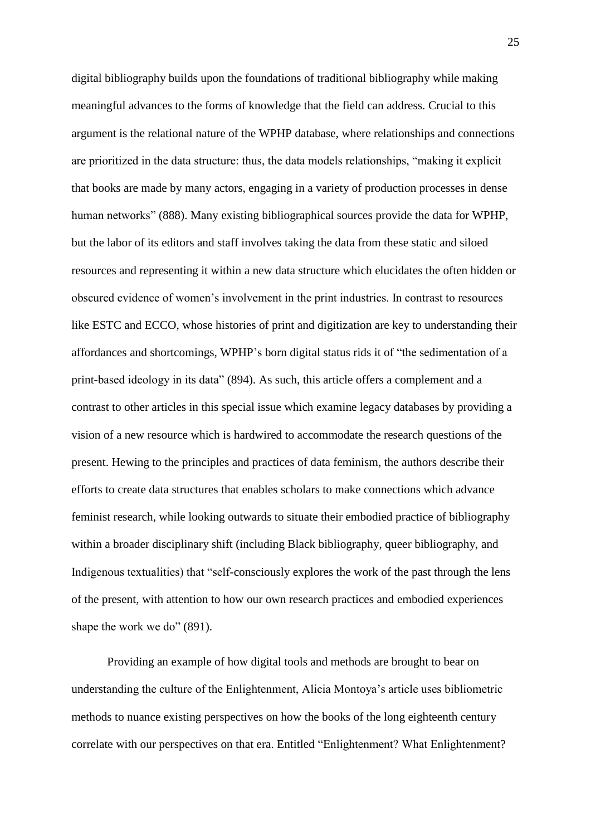digital bibliography builds upon the foundations of traditional bibliography while making meaningful advances to the forms of knowledge that the field can address. Crucial to this argument is the relational nature of the WPHP database, where relationships and connections are prioritized in the data structure: thus, the data models relationships, "making it explicit that books are made by many actors, engaging in a variety of production processes in dense human networks" (888). Many existing bibliographical sources provide the data for WPHP, but the labor of its editors and staff involves taking the data from these static and siloed resources and representing it within a new data structure which elucidates the often hidden or obscured evidence of women's involvement in the print industries. In contrast to resources like ESTC and ECCO, whose histories of print and digitization are key to understanding their affordances and shortcomings, WPHP's born digital status rids it of "the sedimentation of a print-based ideology in its data" (894). As such, this article offers a complement and a contrast to other articles in this special issue which examine legacy databases by providing a vision of a new resource which is hardwired to accommodate the research questions of the present. Hewing to the principles and practices of data feminism, the authors describe their efforts to create data structures that enables scholars to make connections which advance feminist research, while looking outwards to situate their embodied practice of bibliography within a broader disciplinary shift (including Black bibliography, queer bibliography, and Indigenous textualities) that "self-consciously explores the work of the past through the lens of the present, with attention to how our own research practices and embodied experiences shape the work we do" (891).

Providing an example of how digital tools and methods are brought to bear on understanding the culture of the Enlightenment, Alicia Montoya's article uses bibliometric methods to nuance existing perspectives on how the books of the long eighteenth century correlate with our perspectives on that era. Entitled "Enlightenment? What Enlightenment?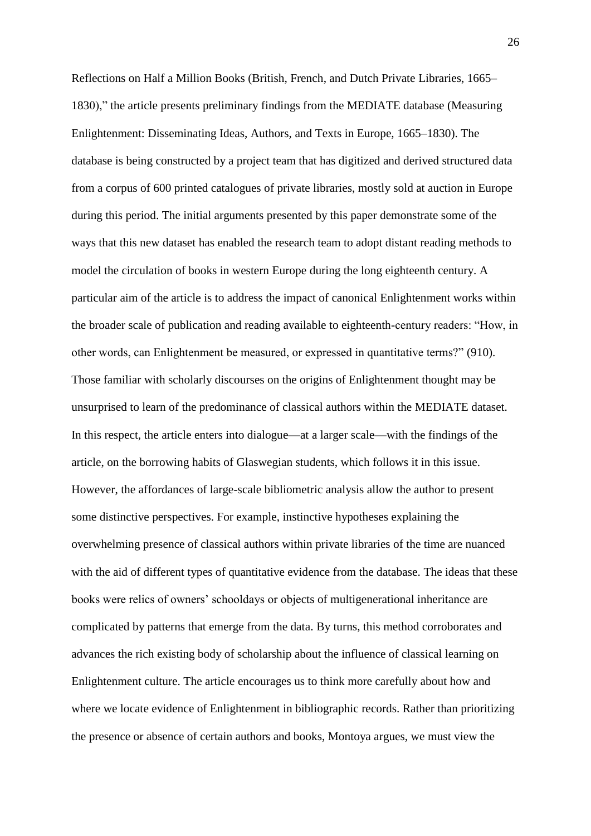Reflections on Half a Million Books (British, French, and Dutch Private Libraries, 1665– 1830)," the article presents preliminary findings from the MEDIATE database (Measuring Enlightenment: Disseminating Ideas, Authors, and Texts in Europe, 1665–1830). The database is being constructed by a project team that has digitized and derived structured data from a corpus of 600 printed catalogues of private libraries, mostly sold at auction in Europe during this period. The initial arguments presented by this paper demonstrate some of the ways that this new dataset has enabled the research team to adopt distant reading methods to model the circulation of books in western Europe during the long eighteenth century. A particular aim of the article is to address the impact of canonical Enlightenment works within the broader scale of publication and reading available to eighteenth-century readers: "How, in other words, can Enlightenment be measured, or expressed in quantitative terms?" (910). Those familiar with scholarly discourses on the origins of Enlightenment thought may be unsurprised to learn of the predominance of classical authors within the MEDIATE dataset. In this respect, the article enters into dialogue—at a larger scale—with the findings of the article, on the borrowing habits of Glaswegian students, which follows it in this issue. However, the affordances of large-scale bibliometric analysis allow the author to present some distinctive perspectives. For example, instinctive hypotheses explaining the overwhelming presence of classical authors within private libraries of the time are nuanced with the aid of different types of quantitative evidence from the database. The ideas that these books were relics of owners' schooldays or objects of multigenerational inheritance are complicated by patterns that emerge from the data. By turns, this method corroborates and advances the rich existing body of scholarship about the influence of classical learning on Enlightenment culture. The article encourages us to think more carefully about how and where we locate evidence of Enlightenment in bibliographic records. Rather than prioritizing the presence or absence of certain authors and books, Montoya argues, we must view the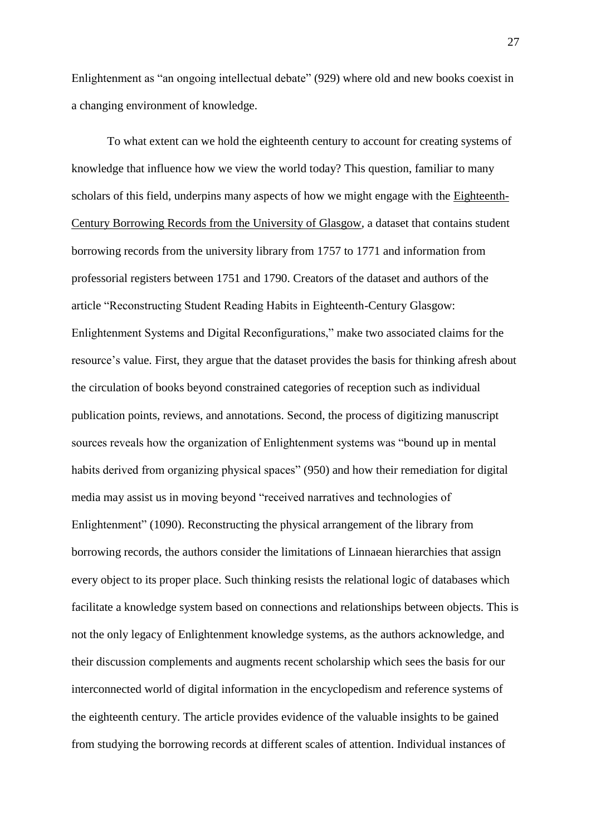Enlightenment as "an ongoing intellectual debate" (929) where old and new books coexist in a changing environment of knowledge.

To what extent can we hold the eighteenth century to account for creating systems of knowledge that influence how we view the world today? This question, familiar to many scholars of this field, underpins many aspects of how we might engage with the Eighteenth-Century Borrowing Records from the University of Glasgow, a dataset that contains student borrowing records from the university library from 1757 to 1771 and information from professorial registers between 1751 and 1790. Creators of the dataset and authors of the article "Reconstructing Student Reading Habits in Eighteenth-Century Glasgow: Enlightenment Systems and Digital Reconfigurations," make two associated claims for the resource's value. First, they argue that the dataset provides the basis for thinking afresh about the circulation of books beyond constrained categories of reception such as individual publication points, reviews, and annotations. Second, the process of digitizing manuscript sources reveals how the organization of Enlightenment systems was "bound up in mental habits derived from organizing physical spaces" (950) and how their remediation for digital media may assist us in moving beyond "received narratives and technologies of Enlightenment" (1090). Reconstructing the physical arrangement of the library from borrowing records, the authors consider the limitations of Linnaean hierarchies that assign every object to its proper place. Such thinking resists the relational logic of databases which facilitate a knowledge system based on connections and relationships between objects. This is not the only legacy of Enlightenment knowledge systems, as the authors acknowledge, and their discussion complements and augments recent scholarship which sees the basis for our interconnected world of digital information in the encyclopedism and reference systems of the eighteenth century. The article provides evidence of the valuable insights to be gained from studying the borrowing records at different scales of attention. Individual instances of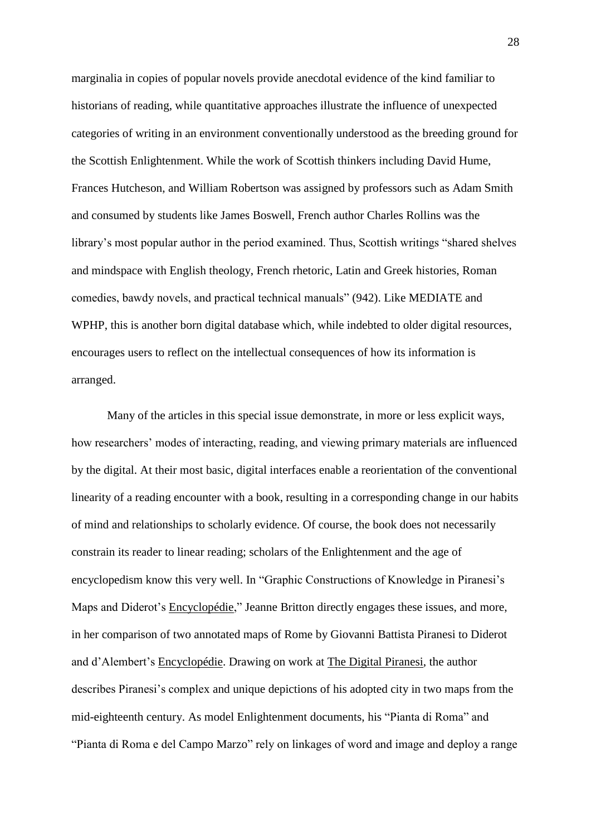marginalia in copies of popular novels provide anecdotal evidence of the kind familiar to historians of reading, while quantitative approaches illustrate the influence of unexpected categories of writing in an environment conventionally understood as the breeding ground for the Scottish Enlightenment. While the work of Scottish thinkers including David Hume, Frances Hutcheson, and William Robertson was assigned by professors such as Adam Smith and consumed by students like James Boswell, French author Charles Rollins was the library's most popular author in the period examined. Thus, Scottish writings "shared shelves and mindspace with English theology, French rhetoric, Latin and Greek histories, Roman comedies, bawdy novels, and practical technical manuals" (942). Like MEDIATE and WPHP, this is another born digital database which, while indebted to older digital resources, encourages users to reflect on the intellectual consequences of how its information is arranged.

Many of the articles in this special issue demonstrate, in more or less explicit ways, how researchers' modes of interacting, reading, and viewing primary materials are influenced by the digital. At their most basic, digital interfaces enable a reorientation of the conventional linearity of a reading encounter with a book, resulting in a corresponding change in our habits of mind and relationships to scholarly evidence. Of course, the book does not necessarily constrain its reader to linear reading; scholars of the Enlightenment and the age of encyclopedism know this very well. In "Graphic Constructions of Knowledge in Piranesi's Maps and Diderot's Encyclopédie," Jeanne Britton directly engages these issues, and more, in her comparison of two annotated maps of Rome by Giovanni Battista Piranesi to Diderot and d'Alembert's Encyclopédie. Drawing on work at The Digital Piranesi, the author describes Piranesi's complex and unique depictions of his adopted city in two maps from the mid-eighteenth century. As model Enlightenment documents, his "Pianta di Roma" and "Pianta di Roma e del Campo Marzo" rely on linkages of word and image and deploy a range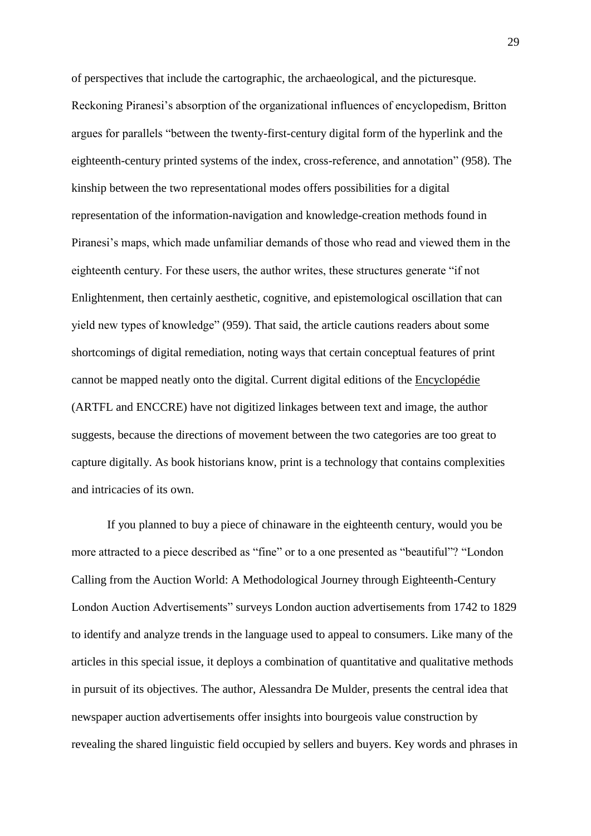of perspectives that include the cartographic, the archaeological, and the picturesque. Reckoning Piranesi's absorption of the organizational influences of encyclopedism, Britton argues for parallels "between the twenty-first-century digital form of the hyperlink and the eighteenth-century printed systems of the index, cross-reference, and annotation" (958). The kinship between the two representational modes offers possibilities for a digital representation of the information-navigation and knowledge-creation methods found in Piranesi's maps, which made unfamiliar demands of those who read and viewed them in the eighteenth century. For these users, the author writes, these structures generate "if not Enlightenment, then certainly aesthetic, cognitive, and epistemological oscillation that can yield new types of knowledge" (959). That said, the article cautions readers about some shortcomings of digital remediation, noting ways that certain conceptual features of print cannot be mapped neatly onto the digital. Current digital editions of the Encyclopédie (ARTFL and ENCCRE) have not digitized linkages between text and image, the author suggests, because the directions of movement between the two categories are too great to capture digitally. As book historians know, print is a technology that contains complexities and intricacies of its own.

If you planned to buy a piece of chinaware in the eighteenth century, would you be more attracted to a piece described as "fine" or to a one presented as "beautiful"? "London Calling from the Auction World: A Methodological Journey through Eighteenth-Century London Auction Advertisements" surveys London auction advertisements from 1742 to 1829 to identify and analyze trends in the language used to appeal to consumers. Like many of the articles in this special issue, it deploys a combination of quantitative and qualitative methods in pursuit of its objectives. The author, Alessandra De Mulder, presents the central idea that newspaper auction advertisements offer insights into bourgeois value construction by revealing the shared linguistic field occupied by sellers and buyers. Key words and phrases in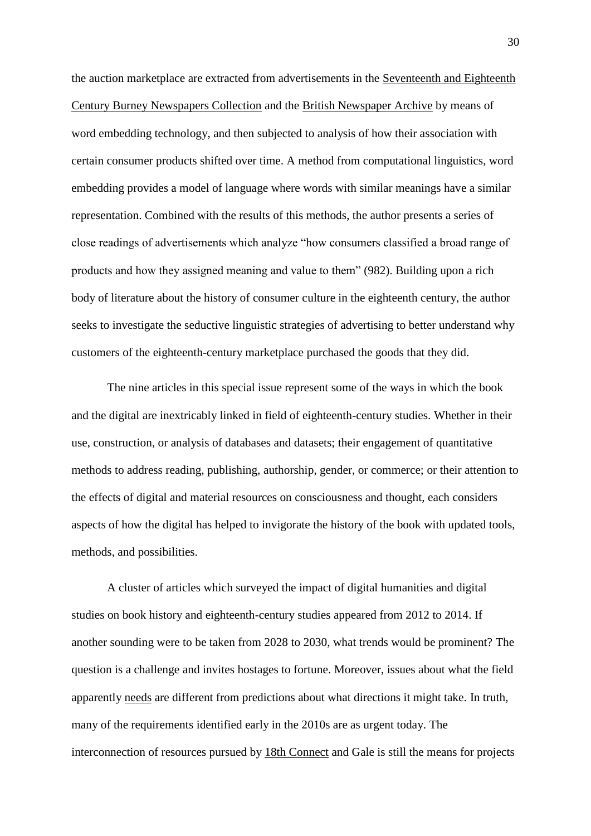the auction marketplace are extracted from advertisements in the Seventeenth and Eighteenth Century Burney Newspapers Collection and the British Newspaper Archive by means of word embedding technology, and then subjected to analysis of how their association with certain consumer products shifted over time. A method from computational linguistics, word embedding provides a model of language where words with similar meanings have a similar representation. Combined with the results of this methods, the author presents a series of close readings of advertisements which analyze "how consumers classified a broad range of products and how they assigned meaning and value to them" (982). Building upon a rich body of literature about the history of consumer culture in the eighteenth century, the author seeks to investigate the seductive linguistic strategies of advertising to better understand why customers of the eighteenth-century marketplace purchased the goods that they did.

The nine articles in this special issue represent some of the ways in which the book and the digital are inextricably linked in field of eighteenth-century studies. Whether in their use, construction, or analysis of databases and datasets; their engagement of quantitative methods to address reading, publishing, authorship, gender, or commerce; or their attention to the effects of digital and material resources on consciousness and thought, each considers aspects of how the digital has helped to invigorate the history of the book with updated tools, methods, and possibilities.

A cluster of articles which surveyed the impact of digital humanities and digital studies on book history and eighteenth-century studies appeared from 2012 to 2014. If another sounding were to be taken from 2028 to 2030, what trends would be prominent? The question is a challenge and invites hostages to fortune. Moreover, issues about what the field apparently needs are different from predictions about what directions it might take. In truth, many of the requirements identified early in the 2010s are as urgent today. The interconnection of resources pursued by 18th Connect and Gale is still the means for projects